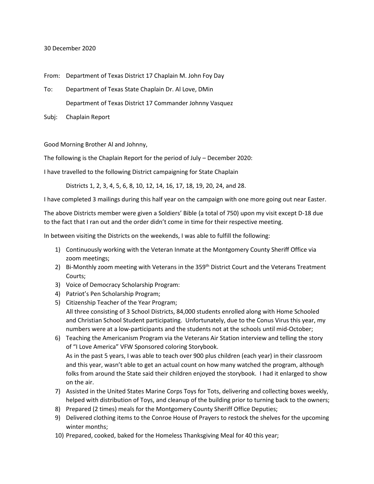## 30 December 2020

From: Department of Texas District 17 Chaplain M. John Foy Day

- To: Department of Texas State Chaplain Dr. Al Love, DMin Department of Texas District 17 Commander Johnny Vasquez
- Subj: Chaplain Report

Good Morning Brother Al and Johnny,

The following is the Chaplain Report for the period of July – December 2020:

I have travelled to the following District campaigning for State Chaplain

Districts 1, 2, 3, 4, 5, 6, 8, 10, 12, 14, 16, 17, 18, 19, 20, 24, and 28.

I have completed 3 mailings during this half year on the campaign with one more going out near Easter.

The above Districts member were given a Soldiers' Bible (a total of 750) upon my visit except D-18 due to the fact that I ran out and the order didn't come in time for their respective meeting.

In between visiting the Districts on the weekends, I was able to fulfill the following:

- 1) Continuously working with the Veteran Inmate at the Montgomery County Sheriff Office via zoom meetings;
- 2) Bi-Monthly zoom meeting with Veterans in the 359<sup>th</sup> District Court and the Veterans Treatment Courts;
- 3) Voice of Democracy Scholarship Program:
- 4) Patriot's Pen Scholarship Program;
- 5) Citizenship Teacher of the Year Program; All three consisting of 3 School Districts, 84,000 students enrolled along with Home Schooled and Christian School Student participating. Unfortunately, due to the Conus Virus this year, my numbers were at a low-participants and the students not at the schools until mid-October;
- 6) Teaching the Americanism Program via the Veterans Air Station interview and telling the story of "I Love America" VFW Sponsored coloring Storybook. As in the past 5 years, I was able to teach over 900 plus children (each year) in their classroom and this year, wasn't able to get an actual count on how many watched the program, although folks from around the State said their children enjoyed the storybook. I had it enlarged to show on the air.
- 7) Assisted in the United States Marine Corps Toys for Tots, delivering and collecting boxes weekly, helped with distribution of Toys, and cleanup of the building prior to turning back to the owners;
- 8) Prepared (2 times) meals for the Montgomery County Sheriff Office Deputies;
- 9) Delivered clothing items to the Conroe House of Prayers to restock the shelves for the upcoming winter months;
- 10) Prepared, cooked, baked for the Homeless Thanksgiving Meal for 40 this year;